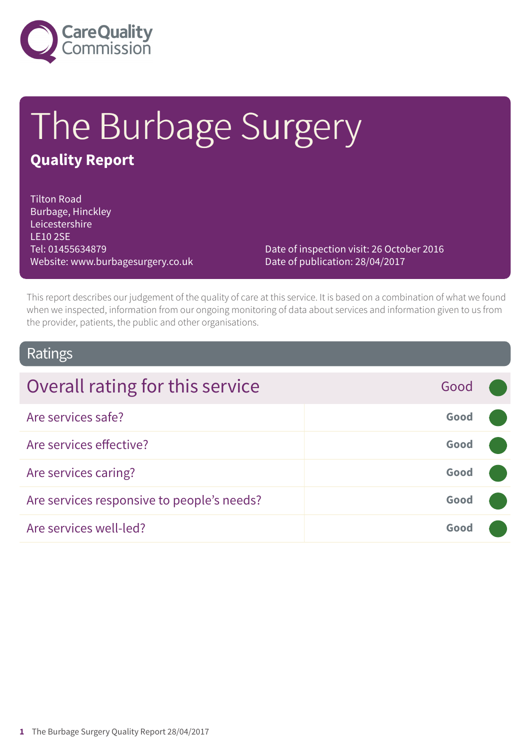

# The Burbage Surgery

### **Quality Report**

Tilton Road Burbage, Hinckley Leicestershire LE10 2SE Tel: 01455634879 Website: www.burbagesurgery.co.uk

Date of inspection visit: 26 October 2016 Date of publication: 28/04/2017

This report describes our judgement of the quality of care at this service. It is based on a combination of what we found when we inspected, information from our ongoing monitoring of data about services and information given to us from the provider, patients, the public and other organisations.

### Ratings

| Overall rating for this service            | Good |  |
|--------------------------------------------|------|--|
| Are services safe?                         | Good |  |
| Are services effective?                    | Good |  |
| Are services caring?                       | Good |  |
| Are services responsive to people's needs? | Good |  |
| Are services well-led?                     | Good |  |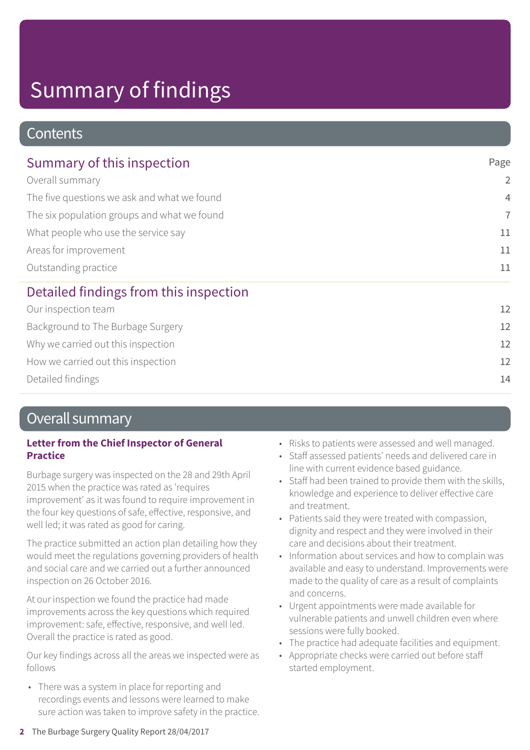### **Contents**

| Summary of this inspection<br>Overall summary<br>The five questions we ask and what we found<br>The six population groups and what we found<br>What people who use the service say<br>Areas for improvement | Page           |
|-------------------------------------------------------------------------------------------------------------------------------------------------------------------------------------------------------------|----------------|
|                                                                                                                                                                                                             | $\overline{2}$ |
|                                                                                                                                                                                                             | $\overline{4}$ |
|                                                                                                                                                                                                             | $\overline{7}$ |
|                                                                                                                                                                                                             | 11             |
|                                                                                                                                                                                                             | 11             |
| Outstanding practice                                                                                                                                                                                        | 11             |
| Detailed findings from this inspection                                                                                                                                                                      |                |
| Our inspection team                                                                                                                                                                                         | 12             |
| Background to The Burbage Surgery                                                                                                                                                                           | 12             |
| Why we carried out this inspection                                                                                                                                                                          | 12             |

How we carried out this inspection 12

Detailed findings 14

### Overall summary

#### **Letter from the Chief Inspector of General Practice**

Burbage surgery was inspected on the 28 and 29th April 2015 when the practice was rated as 'requires improvement' as it was found to require improvement in the four key questions of safe, effective, responsive, and well led; it was rated as good for caring.

The practice submitted an action plan detailing how they would meet the regulations governing providers of health and social care and we carried out a further announced inspection on 26 October 2016.

At our inspection we found the practice had made improvements across the key questions which required improvement: safe, effective, responsive, and well led. Overall the practice is rated as good.

Our key findings across all the areas we inspected were as follows

• There was a system in place for reporting and recordings events and lessons were learned to make sure action was taken to improve safety in the practice.

- Risks to patients were assessed and well managed.
- Staff assessed patients' needs and delivered care in line with current evidence based guidance.
- Staff had been trained to provide them with the skills, knowledge and experience to deliver effective care and treatment.
- Patients said they were treated with compassion, dignity and respect and they were involved in their care and decisions about their treatment.
- Information about services and how to complain was available and easy to understand. Improvements were made to the quality of care as a result of complaints and concerns.
- Urgent appointments were made available for vulnerable patients and unwell children even where sessions were fully booked.
- The practice had adequate facilities and equipment.
- Appropriate checks were carried out before staff started employment.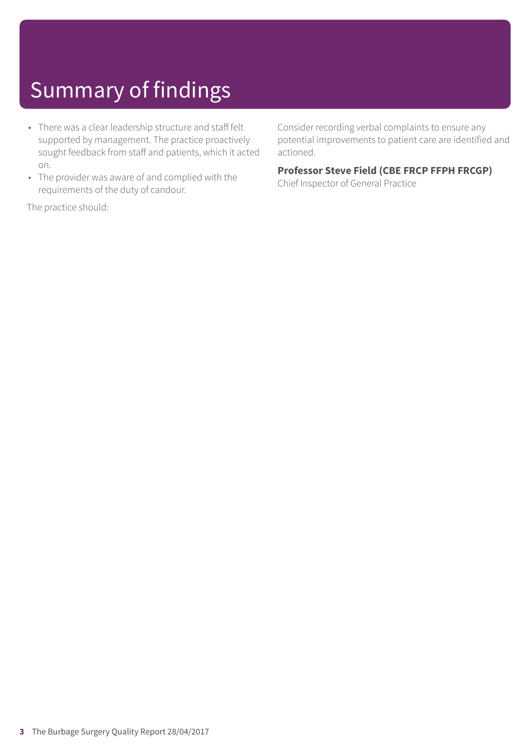- There was a clear leadership structure and staff felt supported by management. The practice proactively sought feedback from staff and patients, which it acted on.
- The provider was aware of and complied with the requirements of the duty of candour.

Consider recording verbal complaints to ensure any potential improvements to patient care are identified and actioned.

### **Professor Steve Field (CBE FRCP FFPH FRCGP)**

Chief Inspector of General Practice

The practice should: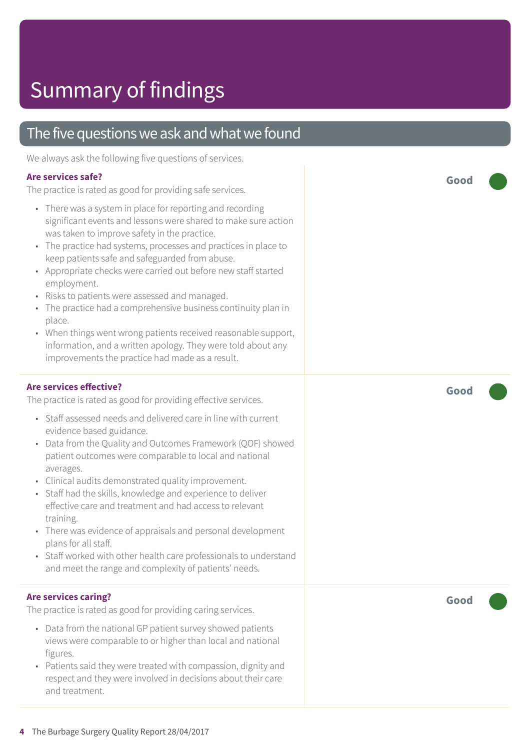### The five questions we ask and what we found

We always ask the following five questions of services.

### **Are services safe?**

The practice is rated as good for providing safe services.

- There was a system in place for reporting and recording significant events and lessons were shared to make sure action was taken to improve safety in the practice.
- The practice had systems, processes and practices in place to keep patients safe and safeguarded from abuse.
- Appropriate checks were carried out before new staff started employment.
- Risks to patients were assessed and managed.
- The practice had a comprehensive business continuity plan in place.
- When things went wrong patients received reasonable support, information, and a written apology. They were told about any improvements the practice had made as a result.

### **Are services effective?**

The practice is rated as good for providing effective services.

- Staff assessed needs and delivered care in line with current evidence based guidance.
- Data from the Quality and Outcomes Framework (QOF) showed patient outcomes were comparable to local and national averages.
- Clinical audits demonstrated quality improvement.
- Staff had the skills, knowledge and experience to deliver effective care and treatment and had access to relevant training.
- There was evidence of appraisals and personal development plans for all staff.
- Staff worked with other health care professionals to understand and meet the range and complexity of patients' needs.

### **Are services caring?**

The practice is rated as good for providing caring services.

- Data from the national GP patient survey showed patients views were comparable to or higher than local and national figures.
- Patients said they were treated with compassion, dignity and respect and they were involved in decisions about their care and treatment.

**Good –––**

**Good –––**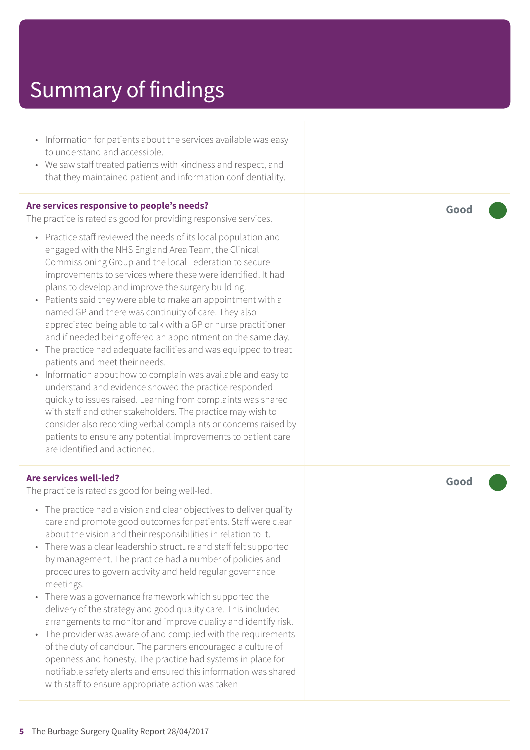- Information for patients about the services available was easy to understand and accessible.
- We saw staff treated patients with kindness and respect, and that they maintained patient and information confidentiality.

#### **Are services responsive to people's needs?**

The practice is rated as good for providing responsive services.

- Practice staff reviewed the needs of its local population and engaged with the NHS England Area Team, the Clinical Commissioning Group and the local Federation to secure improvements to services where these were identified. It had plans to develop and improve the surgery building.
- Patients said they were able to make an appointment with a named GP and there was continuity of care. They also appreciated being able to talk with a GP or nurse practitioner and if needed being offered an appointment on the same day.
- The practice had adequate facilities and was equipped to treat patients and meet their needs.
- Information about how to complain was available and easy to understand and evidence showed the practice responded quickly to issues raised. Learning from complaints was shared with staff and other stakeholders. The practice may wish to consider also recording verbal complaints or concerns raised by patients to ensure any potential improvements to patient care are identified and actioned.

#### **Are services well-led?**

The practice is rated as good for being well-led.

- The practice had a vision and clear objectives to deliver quality care and promote good outcomes for patients. Staff were clear about the vision and their responsibilities in relation to it.
- There was a clear leadership structure and staff felt supported by management. The practice had a number of policies and procedures to govern activity and held regular governance meetings.
- There was a governance framework which supported the delivery of the strategy and good quality care. This included arrangements to monitor and improve quality and identify risk.
- The provider was aware of and complied with the requirements of the duty of candour. The partners encouraged a culture of openness and honesty. The practice had systems in place for notifiable safety alerts and ensured this information was shared with staff to ensure appropriate action was taken

**Good –––**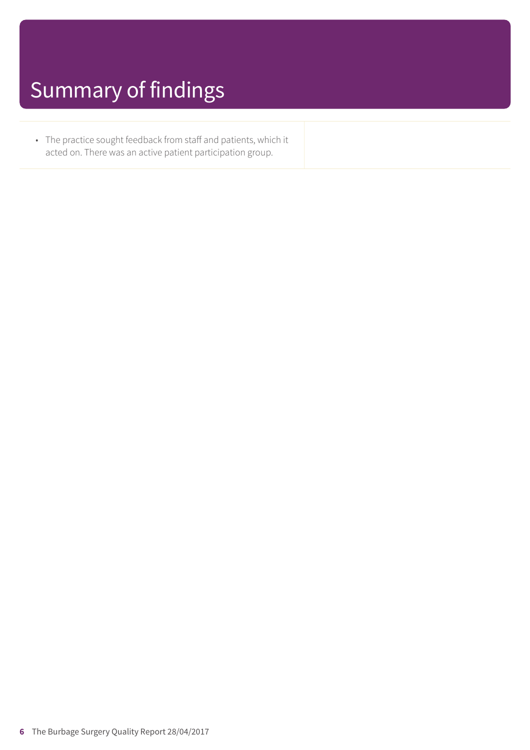• The practice sought feedback from staff and patients, which it acted on. There was an active patient participation group.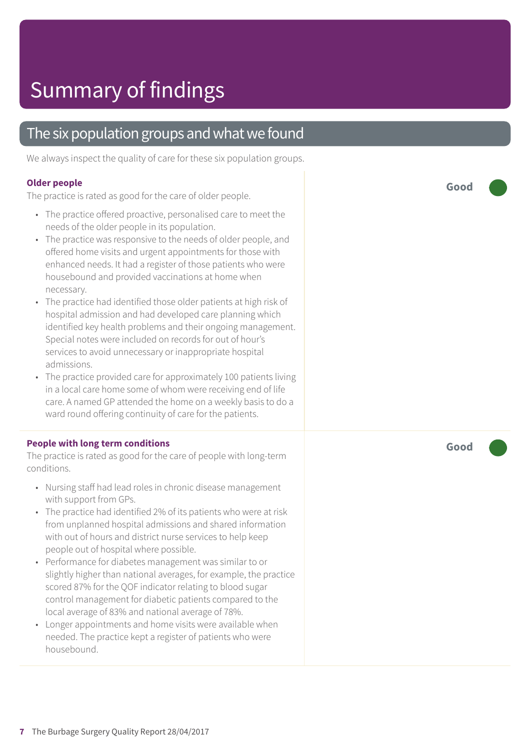### The six population groups and what we found

We always inspect the quality of care for these six population groups.

#### **Older people**

The practice is rated as good for the care of older people.

- The practice offered proactive, personalised care to meet the needs of the older people in its population.
- The practice was responsive to the needs of older people, and offered home visits and urgent appointments for those with enhanced needs. It had a register of those patients who were housebound and provided vaccinations at home when necessary.
- The practice had identified those older patients at high risk of hospital admission and had developed care planning which identified key health problems and their ongoing management. Special notes were included on records for out of hour's services to avoid unnecessary or inappropriate hospital admissions.
- The practice provided care for approximately 100 patients living in a local care home some of whom were receiving end of life care. A named GP attended the home on a weekly basis to do a ward round offering continuity of care for the patients.

#### **People with long term conditions**

The practice is rated as good for the care of people with long-term conditions.

- Nursing staff had lead roles in chronic disease management with support from GPs.
- The practice had identified 2% of its patients who were at risk from unplanned hospital admissions and shared information with out of hours and district nurse services to help keep people out of hospital where possible.
- Performance for diabetes management was similar to or slightly higher than national averages, for example, the practice scored 87% for the QOF indicator relating to blood sugar control management for diabetic patients compared to the local average of 83% and national average of 78%.
- Longer appointments and home visits were available when needed. The practice kept a register of patients who were housebound.

**Good –––**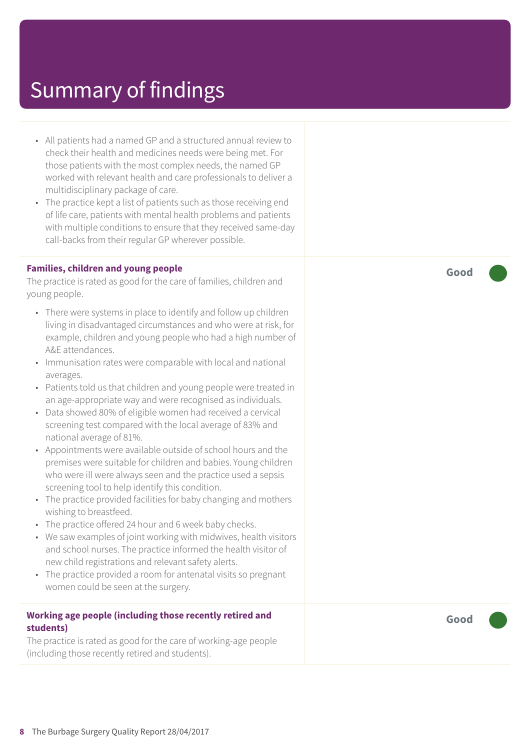- All patients had a named GP and a structured annual review to check their health and medicines needs were being met. For those patients with the most complex needs, the named GP worked with relevant health and care professionals to deliver a multidisciplinary package of care.
- The practice kept a list of patients such as those receiving end of life care, patients with mental health problems and patients with multiple conditions to ensure that they received same-day call-backs from their regular GP wherever possible.

#### **Families, children and young people**

The practice is rated as good for the care of families, children and young people.

- There were systems in place to identify and follow up children living in disadvantaged circumstances and who were at risk, for example, children and young people who had a high number of A&E attendances.
- Immunisation rates were comparable with local and national averages.
- Patients told us that children and young people were treated in an age-appropriate way and were recognised as individuals.
- Data showed 80% of eligible women had received a cervical screening test compared with the local average of 83% and national average of 81%.
- Appointments were available outside of school hours and the premises were suitable for children and babies. Young children who were ill were always seen and the practice used a sepsis screening tool to help identify this condition.
- The practice provided facilities for baby changing and mothers wishing to breastfeed.
- The practice offered 24 hour and 6 week baby checks.
- We saw examples of joint working with midwives, health visitors and school nurses. The practice informed the health visitor of new child registrations and relevant safety alerts.
- The practice provided a room for antenatal visits so pregnant women could be seen at the surgery.

#### **Working age people (including those recently retired and students)**

The practice is rated as good for the care of working-age people (including those recently retired and students).

**Good –––**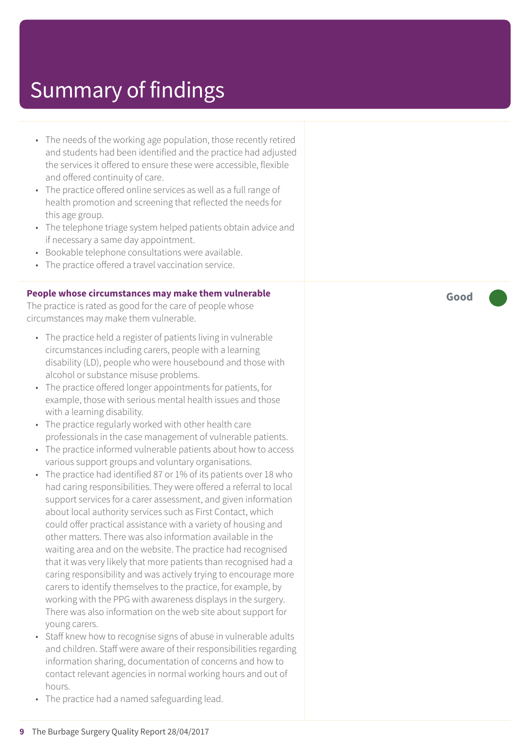- The needs of the working ag e population, those recently r etired and students had been identified and the practic e had adjusted the services it offered t o ensur e these wer e ac cessible, flexible and offered continuity of care.
- The practice offered online services as well as a full range of health promotion and screening that reflected the needs for this ag e group.
- The telephone triage system helped patients obtain advice and if necessar y a same day appointment.
- Bookable telephone consultations wer e available.
- The practic e offered a travel vaccination service.

#### **People whose circumstances may mak e them vulnerable**

The practic e is rated as good for the car e of people whose circumstances may mak e them vulnerable.

- The practice held a register of patients living in vulnerable circumstances including carers, people with a learning disability (LD), people who wer e housebound and those with alcohol or substanc e misuse problems.
- The practic e offered longer appointments for patients, for example, those with serious mental health issues and those with a learning disability.
- The practice regularly worked with other health car e professionals in the case management of vulnerable patients.
- The practice informed vulnerable patients about how to access various support groups and voluntar y or ganisations.
- The practic e had identified 87 or 1% of its patients over 18 who had caring responsibilities. The y wer e offered a referral t o local support services for a carer assessment, and given information about local authority services such as First Contact , which could offer practical assistanc e with a variety of housing and other matters. Ther e was also information available in the waiting ar e a and on the website. The practic e had recognised that it was very likely that more patients than recognised had a caring responsibility and was actively trying t o encourag e mor e carer s t o identify themselves t o the practice, for example, by working with the PPG with awareness displays in the sur ger y. Ther e was also information on the web sit e about support for young carers.
- Staff knew how to recognise signs of abuse in vulnerable adults and children. Staff wer e awar e of their responsibilities r e garding information sharing, documentation of concerns and how t o contact rele vant agencies in normal working hour s and out of hours.
- The practic e had a named saf eguarding lead.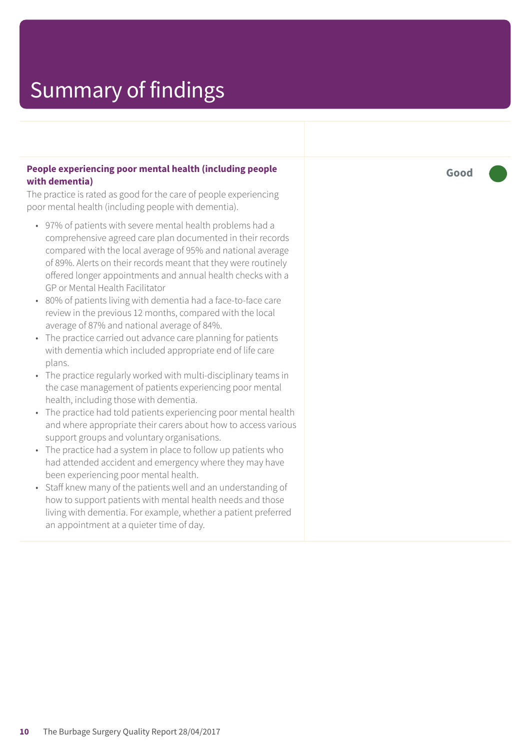#### **People experiencing poor mental health (including people with dementia)**

The practice is rated as good for the care of people experiencing poor mental health (including people with dementia).

- 97% of patients with severe mental health problems had a comprehensive agreed care plan documented in their records compared with the local average of 95% and national average of 89%. Alerts on their records meant that they were routinely offered longer appointments and annual health checks with a GP or Mental Health Facilitator
- 80% of patients living with dementia had a face-to-face care review in the previous 12 months, compared with the local average of 87% and national average of 84%.
- The practice carried out advance care planning for patients with dementia which included appropriate end of life care plans.
- The practice regularly worked with multi-disciplinary teams in the case management of patients experiencing poor mental health, including those with dementia.
- The practice had told patients experiencing poor mental health and where appropriate their carers about how to access various support groups and voluntary organisations.
- The practice had a system in place to follow up patients who had attended accident and emergency where they may have been experiencing poor mental health.
- Staff knew many of the patients well and an understanding of how to support patients with mental health needs and those living with dementia. For example, whether a patient preferred an appointment at a quieter time of day.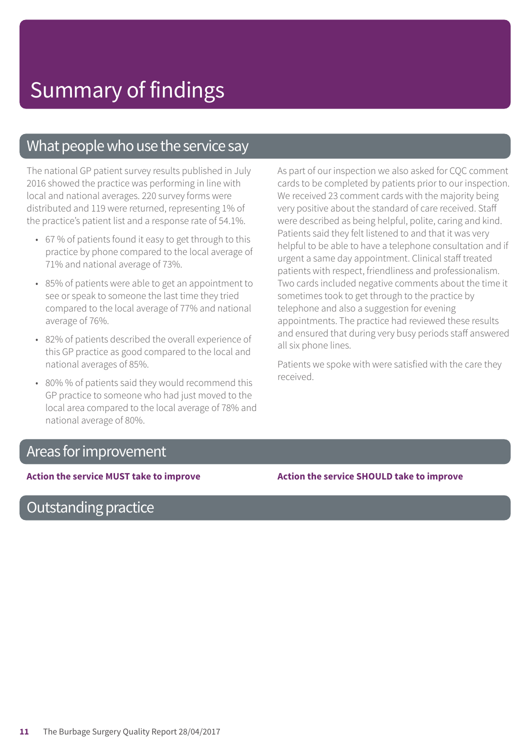### What people who use the service say

The national GP patient survey results published in July 2016 showed the practice was performing in line with local and national averages. 220 survey forms were distributed and 119 were returned, representing 1% of the practice's patient list and a response rate of 54.1%.

- 67 % of patients found it easy to get through to this practice by phone compared to the local average of 71% and national average of 73%.
- 85% of patients were able to get an appointment to see or speak to someone the last time they tried compared to the local average of 77% and national average of 76%.
- 82% of patients described the overall experience of this GP practice as good compared to the local and national averages of 85%.
- 80% % of patients said they would recommend this GP practice to someone who had just moved to the local area compared to the local average of 78% and national average of 80%.

As part of our inspection we also asked for CQC comment cards to be completed by patients prior to our inspection. We received 23 comment cards with the majority being very positive about the standard of care received. Staff were described as being helpful, polite, caring and kind. Patients said they felt listened to and that it was very helpful to be able to have a telephone consultation and if urgent a same day appointment. Clinical staff treated patients with respect, friendliness and professionalism. Two cards included negative comments about the time it sometimes took to get through to the practice by telephone and also a suggestion for evening appointments. The practice had reviewed these results and ensured that during very busy periods staff answered all six phone lines.

Patients we spoke with were satisfied with the care they received.

### Areas for improvement

Outstanding practice

**Action the service MUST take to improve Action the service SHOULD take to improve**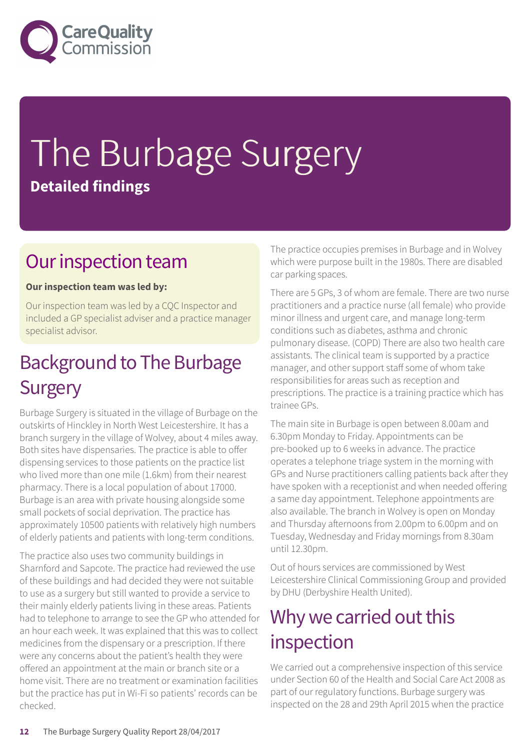

# The Burbage Surgery **Detailed findings**

### Our inspection team

#### **Our inspection team was led by:**

Our inspection team was led by a CQC Inspector and included a GP specialist adviser and a practice manager specialist advisor.

### **Background to The Burbage Surgery**

Burbage Surgery is situated in the village of Burbage on the outskirts of Hinckley in North West Leicestershire. It has a branch surgery in the village of Wolvey, about 4 miles away. Both sites have dispensaries. The practice is able to offer dispensing services to those patients on the practice list who lived more than one mile (1.6km) from their nearest pharmacy. There is a local population of about 17000. Burbage is an area with private housing alongside some small pockets of social deprivation. The practice has approximately 10500 patients with relatively high numbers of elderly patients and patients with long-term conditions.

The practice also uses two community buildings in Sharnford and Sapcote. The practice had reviewed the use of these buildings and had decided they were not suitable to use as a surgery but still wanted to provide a service to their mainly elderly patients living in these areas. Patients had to telephone to arrange to see the GP who attended for an hour each week. It was explained that this was to collect medicines from the dispensary or a prescription. If there were any concerns about the patient's health they were offered an appointment at the main or branch site or a home visit. There are no treatment or examination facilities but the practice has put in Wi-Fi so patients' records can be checked.

The practice occupies premises in Burbage and in Wolvey which were purpose built in the 1980s. There are disabled car parking spaces.

There are 5 GPs, 3 of whom are female. There are two nurse practitioners and a practice nurse (all female) who provide minor illness and urgent care, and manage long-term conditions such as diabetes, asthma and chronic pulmonary disease. (COPD) There are also two health care assistants. The clinical team is supported by a practice manager, and other support staff some of whom take responsibilities for areas such as reception and prescriptions. The practice is a training practice which has trainee GPs.

The main site in Burbage is open between 8.00am and 6.30pm Monday to Friday. Appointments can be pre-booked up to 6 weeks in advance. The practice operates a telephone triage system in the morning with GPs and Nurse practitioners calling patients back after they have spoken with a receptionist and when needed offering a same day appointment. Telephone appointments are also available. The branch in Wolvey is open on Monday and Thursday afternoons from 2.00pm to 6.00pm and on Tuesday, Wednesday and Friday mornings from 8.30am until 12.30pm.

Out of hours services are commissioned by West Leicestershire Clinical Commissioning Group and provided by DHU (Derbyshire Health United).

### Why we carried out this inspection

We carried out a comprehensive inspection of this service under Section 60 of the Health and Social Care Act 2008 as part of our regulatory functions. Burbage surgery was inspected on the 28 and 29th April 2015 when the practice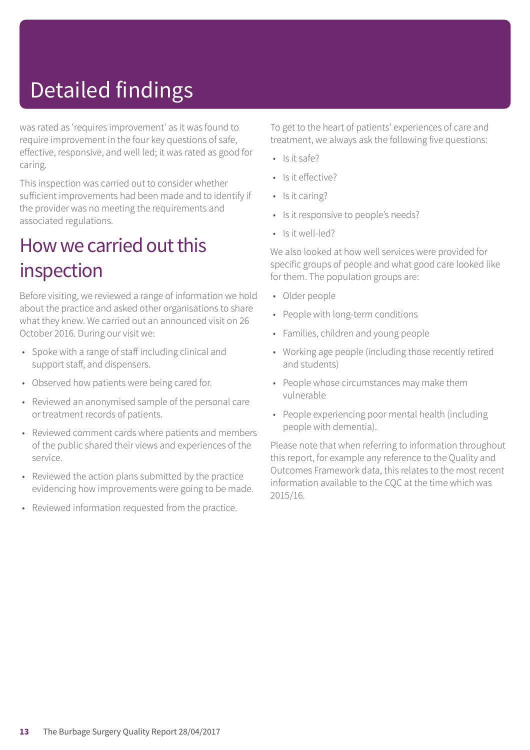# Detailed findings

was rated as 'requires improvement' as it was found to require improvement in the four key questions of safe, effective, responsive, and well led; it was rated as good for caring.

This inspection was carried out to consider whether sufficient improvements had been made and to identify if the provider was no meeting the requirements and associated regulations.

### How we carried out this inspection

Before visiting, we reviewed a range of information we hold about the practice and asked other organisations to share what they knew. We carried out an announced visit on 26 October 2016. During our visit we:

- Spoke with a range of staff including clinical and support staff, and dispensers.
- Observed how patients were being cared for.
- Reviewed an anonymised sample of the personal care or treatment records of patients.
- Reviewed comment cards where patients and members of the public shared their views and experiences of the service.
- Reviewed the action plans submitted by the practice evidencing how improvements were going to be made.
- Reviewed information requested from the practice.

To get to the heart of patients' experiences of care and treatment, we always ask the following five questions:

- $\cdot$  Is it safe?
- Is it effective?
- Is it caring?
- Is it responsive to people's needs?
- Is it well-led?

We also looked at how well services were provided for specific groups of people and what good care looked like for them. The population groups are:

- Older people
- People with long-term conditions
- Families, children and young people
- Working age people (including those recently retired and students)
- People whose circumstances may make them vulnerable
- People experiencing poor mental health (including people with dementia).

Please note that when referring to information throughout this report, for example any reference to the Quality and Outcomes Framework data, this relates to the most recent information available to the CQC at the time which was 2015/16.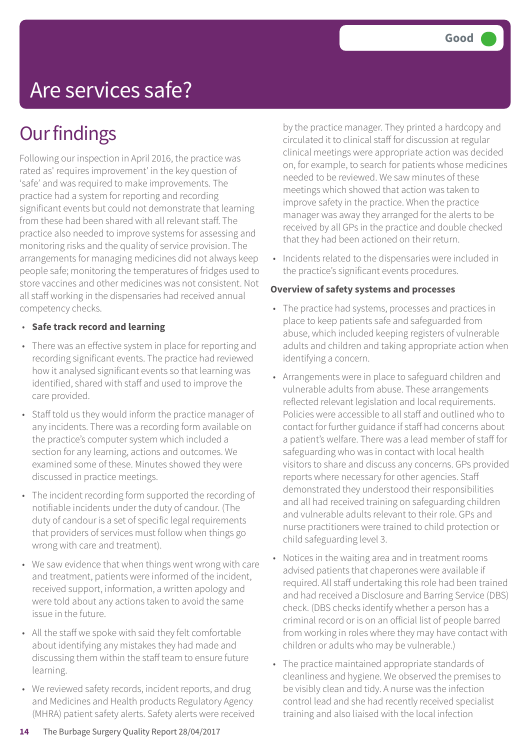### Are services safe?

### **Our findings**

Following our inspection in April 2016, the practice was rated as' requires improvement' in the key question of 'safe' and was required to make improvements. The practice had a system for reporting and recording significant events but could not demonstrate that learning from these had been shared with all relevant staff. The practice also needed to improve systems for assessing and monitoring risks and the quality of service provision. The arrangements for managing medicines did not always keep people safe; monitoring the temperatures of fridges used to store vaccines and other medicines was not consistent. Not all staff working in the dispensaries had received annual competency checks.

- **Safe track record and learning**
- There was an effective system in place for reporting and recording significant events. The practice had reviewed how it analysed significant events so that learning was identified, shared with staff and used to improve the care provided.
- Staff told us they would inform the practice manager of any incidents. There was a recording form available on the practice's computer system which included a section for any learning, actions and outcomes. We examined some of these. Minutes showed they were discussed in practice meetings.
- The incident recording form supported the recording of notifiable incidents under the duty of candour. (The duty of candour is a set of specific legal requirements that providers of services must follow when things go wrong with care and treatment).
- We saw evidence that when things went wrong with care and treatment, patients were informed of the incident, received support, information, a written apology and were told about any actions taken to avoid the same issue in the future.
- All the staff we spoke with said they felt comfortable about identifying any mistakes they had made and discussing them within the staff team to ensure future learning.
- We reviewed safety records, incident reports, and drug and Medicines and Health products Regulatory Agency (MHRA) patient safety alerts. Safety alerts were received

by the practice manager. They printed a hardcopy and circulated it to clinical staff for discussion at regular clinical meetings were appropriate action was decided on, for example, to search for patients whose medicines needed to be reviewed. We saw minutes of these meetings which showed that action was taken to improve safety in the practice. When the practice manager was away they arranged for the alerts to be received by all GPs in the practice and double checked that they had been actioned on their return.

• Incidents related to the dispensaries were included in the practice's significant events procedures.

#### **Overview of safety systems and processes**

- The practice had systems, processes and practices in place to keep patients safe and safeguarded from abuse, which included keeping registers of vulnerable adults and children and taking appropriate action when identifying a concern.
- Arrangements were in place to safeguard children and vulnerable adults from abuse. These arrangements reflected relevant legislation and local requirements. Policies were accessible to all staff and outlined who to contact for further guidance if staff had concerns about a patient's welfare. There was a lead member of staff for safeguarding who was in contact with local health visitors to share and discuss any concerns. GPs provided reports where necessary for other agencies. Staff demonstrated they understood their responsibilities and all had received training on safeguarding children and vulnerable adults relevant to their role. GPs and nurse practitioners were trained to child protection or child safeguarding level 3.
- Notices in the waiting area and in treatment rooms advised patients that chaperones were available if required. All staff undertaking this role had been trained and had received a Disclosure and Barring Service (DBS) check. (DBS checks identify whether a person has a criminal record or is on an official list of people barred from working in roles where they may have contact with children or adults who may be vulnerable.)
- The practice maintained appropriate standards of cleanliness and hygiene. We observed the premises to be visibly clean and tidy. A nurse was the infection control lead and she had recently received specialist training and also liaised with the local infection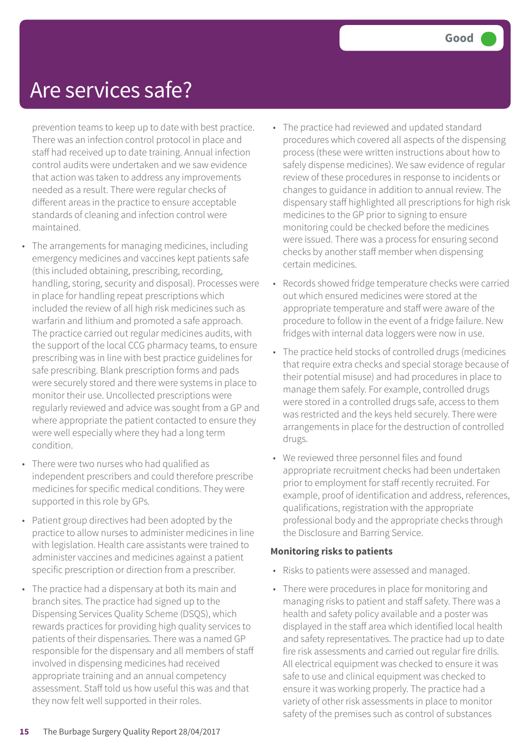### Are services safe?

prevention teams to keep up to date with best practice. There was an infection control protocol in place and staff had received up to date training. Annual infection control audits were undertaken and we saw evidence that action was taken to address any improvements needed as a result. There were regular checks of different areas in the practice to ensure acceptable standards of cleaning and infection control were maintained.

- The arrangements for managing medicines, including emergency medicines and vaccines kept patients safe (this included obtaining, prescribing, recording, handling, storing, security and disposal). Processes were in place for handling repeat prescriptions which included the review of all high risk medicines such as warfarin and lithium and promoted a safe approach. The practice carried out regular medicines audits, with the support of the local CCG pharmacy teams, to ensure prescribing was in line with best practice guidelines for safe prescribing. Blank prescription forms and pads were securely stored and there were systems in place to monitor their use. Uncollected prescriptions were regularly reviewed and advice was sought from a GP and where appropriate the patient contacted to ensure they were well especially where they had a long term condition.
- There were two nurses who had qualified as independent prescribers and could therefore prescribe medicines for specific medical conditions. They were supported in this role by GPs.
- Patient group directives had been adopted by the practice to allow nurses to administer medicines in line with legislation. Health care assistants were trained to administer vaccines and medicines against a patient specific prescription or direction from a prescriber.
- The practice had a dispensary at both its main and branch sites. The practice had signed up to the Dispensing Services Quality Scheme (DSQS), which rewards practices for providing high quality services to patients of their dispensaries. There was a named GP responsible for the dispensary and all members of staff involved in dispensing medicines had received appropriate training and an annual competency assessment. Staff told us how useful this was and that they now felt well supported in their roles.
- The practice had reviewed and updated standard procedures which covered all aspects of the dispensing process (these were written instructions about how to safely dispense medicines). We saw evidence of regular review of these procedures in response to incidents or changes to guidance in addition to annual review. The dispensary staff highlighted all prescriptions for high risk medicines to the GP prior to signing to ensure monitoring could be checked before the medicines were issued. There was a process for ensuring second checks by another staff member when dispensing certain medicines.
- Records showed fridge temperature checks were carried out which ensured medicines were stored at the appropriate temperature and staff were aware of the procedure to follow in the event of a fridge failure. New fridges with internal data loggers were now in use.
- The practice held stocks of controlled drugs (medicines that require extra checks and special storage because of their potential misuse) and had procedures in place to manage them safely. For example, controlled drugs were stored in a controlled drugs safe, access to them was restricted and the keys held securely. There were arrangements in place for the destruction of controlled drugs.
- We reviewed three personnel files and found appropriate recruitment checks had been undertaken prior to employment for staff recently recruited. For example, proof of identification and address, references, qualifications, registration with the appropriate professional body and the appropriate checks through the Disclosure and Barring Service.

#### **Monitoring risks to patients**

- Risks to patients were assessed and managed.
- There were procedures in place for monitoring and managing risks to patient and staff safety. There was a health and safety policy available and a poster was displayed in the staff area which identified local health and safety representatives. The practice had up to date fire risk assessments and carried out regular fire drills. All electrical equipment was checked to ensure it was safe to use and clinical equipment was checked to ensure it was working properly. The practice had a variety of other risk assessments in place to monitor safety of the premises such as control of substances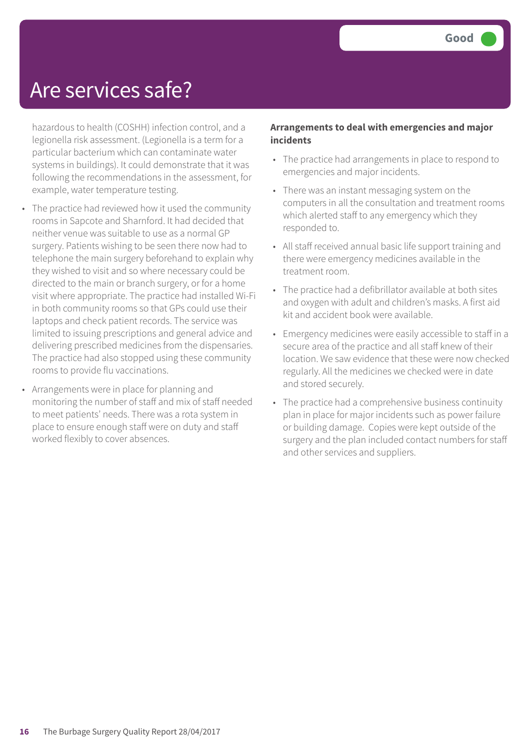### Are services safe?

hazardous to health (COSHH) infection control, and a legionella risk assessment. (Legionella is a term for a particular bacterium which can contaminate water systems in buildings). It could demonstrate that it was following the recommendations in the assessment, for example, water temperature testing.

- The practice had reviewed how it used the community rooms in Sapcote and Sharnford. It had decided that neither venue was suitable to use as a normal GP surgery. Patients wishing to be seen there now had to telephone the main surgery beforehand to explain why they wished to visit and so where necessary could be directed to the main or branch surgery, or for a home visit where appropriate. The practice had installed Wi-Fi in both community rooms so that GPs could use their laptops and check patient records. The service was limited to issuing prescriptions and general advice and delivering prescribed medicines from the dispensaries. The practice had also stopped using these community rooms to provide flu vaccinations.
- Arrangements were in place for planning and monitoring the number of staff and mix of staff needed to meet patients' needs. There was a rota system in place to ensure enough staff were on duty and staff worked flexibly to cover absences.

#### **Arrangements to deal with emergencies and major incidents**

- The practice had arrangements in place to respond to emergencies and major incidents.
- There was an instant messaging system on the computers in all the consultation and treatment rooms which alerted staff to any emergency which they responded to.
- All staff received annual basic life support training and there were emergency medicines available in the treatment room.
- The practice had a defibrillator available at both sites and oxygen with adult and children's masks. A first aid kit and accident book were available.
- Emergency medicines were easily accessible to staff in a secure area of the practice and all staff knew of their location. We saw evidence that these were now checked regularly. All the medicines we checked were in date and stored securely.
- The practice had a comprehensive business continuity plan in place for major incidents such as power failure or building damage. Copies were kept outside of the surgery and the plan included contact numbers for staff and other services and suppliers.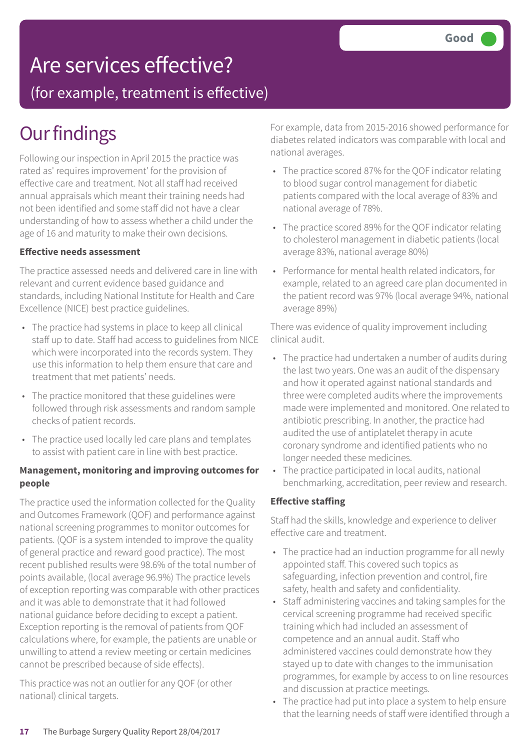### Are services effective?

(for example, treatment is effective)

### **Our findings**

Following our inspection in April 2015 the practice was rated as' requires improvement' for the provision of effective care and treatment. Not all staff had received annual appraisals which meant their training needs had not been identified and some staff did not have a clear understanding of how to assess whether a child under the age of 16 and maturity to make their own decisions.

#### **Effective needs assessment**

The practice assessed needs and delivered care in line with relevant and current evidence based guidance and standards, including National Institute for Health and Care Excellence (NICE) best practice guidelines.

- The practice had systems in place to keep all clinical staff up to date. Staff had access to guidelines from NICE which were incorporated into the records system. They use this information to help them ensure that care and treatment that met patients' needs.
- The practice monitored that these guidelines were followed through risk assessments and random sample checks of patient records.
- The practice used locally led care plans and templates to assist with patient care in line with best practice.

#### **Management, monitoring and improving outcomes for people**

The practice used the information collected for the Quality and Outcomes Framework (QOF) and performance against national screening programmes to monitor outcomes for patients. (QOF is a system intended to improve the quality of general practice and reward good practice). The most recent published results were 98.6% of the total number of points available, (local average 96.9%) The practice levels of exception reporting was comparable with other practices and it was able to demonstrate that it had followed national guidance before deciding to except a patient. Exception reporting is the removal of patients from QOF calculations where, for example, the patients are unable or unwilling to attend a review meeting or certain medicines cannot be prescribed because of side effects).

This practice was not an outlier for any QOF (or other national) clinical targets.

For example, data from 2015-2016 showed performance for diabetes related indicators was comparable with local and national averages.

- The practice scored 87% for the QOF indicator relating to blood sugar control management for diabetic patients compared with the local average of 83% and national average of 78%.
- The practice scored 89% for the QOF indicator relating to cholesterol management in diabetic patients (local average 83%, national average 80%)
- Performance for mental health related indicators, for example, related to an agreed care plan documented in the patient record was 97% (local average 94%, national average 89%)

There was evidence of quality improvement including clinical audit.

- The practice had undertaken a number of audits during the last two years. One was an audit of the dispensary and how it operated against national standards and three were completed audits where the improvements made were implemented and monitored. One related to antibiotic prescribing. In another, the practice had audited the use of antiplatelet therapy in acute coronary syndrome and identified patients who no longer needed these medicines.
- The practice participated in local audits, national benchmarking, accreditation, peer review and research.

#### **Effective staffing**

Staff had the skills, knowledge and experience to deliver effective care and treatment.

- The practice had an induction programme for all newly appointed staff. This covered such topics as safeguarding, infection prevention and control, fire safety, health and safety and confidentiality.
- Staff administering vaccines and taking samples for the cervical screening programme had received specific training which had included an assessment of competence and an annual audit. Staff who administered vaccines could demonstrate how they stayed up to date with changes to the immunisation programmes, for example by access to on line resources and discussion at practice meetings.
- The practice had put into place a system to help ensure that the learning needs of staff were identified through a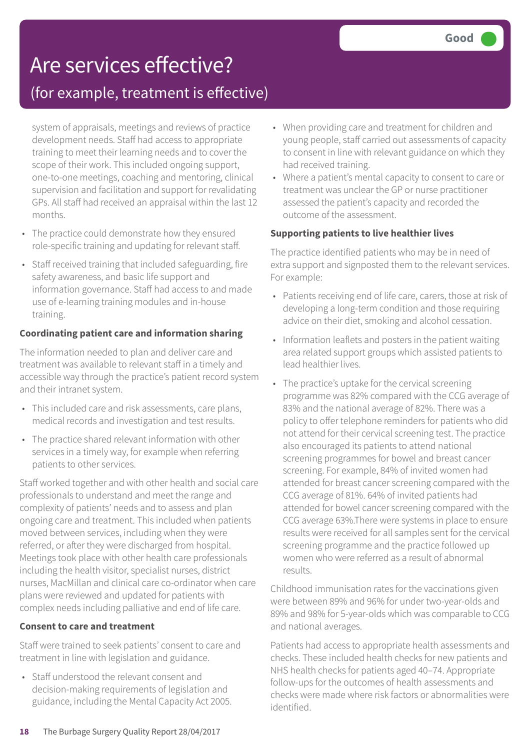### Are services effective?

### (for example, treatment is effective)

system of appraisals, meetings and reviews of practice development needs. Staff had access to appropriate training to meet their learning needs and to cover the scope of their work. This included ongoing support, one-to-one meetings, coaching and mentoring, clinical supervision and facilitation and support for revalidating GPs. All staff had received an appraisal within the last 12 months.

- The practice could demonstrate how they ensured role-specific training and updating for relevant staff.
- Staff received training that included safeguarding, fire safety awareness, and basic life support and information governance. Staff had access to and made use of e-learning training modules and in-house training.

#### **Coordinating patient care and information sharing**

The information needed to plan and deliver care and treatment was available to relevant staff in a timely and accessible way through the practice's patient record system and their intranet system.

- This included care and risk assessments, care plans, medical records and investigation and test results.
- The practice shared relevant information with other services in a timely way, for example when referring patients to other services.

Staff worked together and with other health and social care professionals to understand and meet the range and complexity of patients' needs and to assess and plan ongoing care and treatment. This included when patients moved between services, including when they were referred, or after they were discharged from hospital. Meetings took place with other health care professionals including the health visitor, specialist nurses, district nurses, MacMillan and clinical care co-ordinator when care plans were reviewed and updated for patients with complex needs including palliative and end of life care.

#### **Consent to care and treatment**

Staff were trained to seek patients' consent to care and treatment in line with legislation and guidance.

• Staff understood the relevant consent and decision-making requirements of legislation and guidance, including the Mental Capacity Act 2005.

- When providing care and treatment for children and young people, staff carried out assessments of capacity to consent in line with relevant guidance on which they had received training.
- Where a patient's mental capacity to consent to care or treatment was unclear the GP or nurse practitioner assessed the patient's capacity and recorded the outcome of the assessment.

#### **Supporting patients to live healthier lives**

The practice identified patients who may be in need of extra support and signposted them to the relevant services. For example:

- Patients receiving end of life care, carers, those at risk of developing a long-term condition and those requiring advice on their diet, smoking and alcohol cessation.
- Information leaflets and posters in the patient waiting area related support groups which assisted patients to lead healthier lives.
- The practice's uptake for the cervical screening programme was 82% compared with the CCG average of 83% and the national average of 82%. There was a policy to offer telephone reminders for patients who did not attend for their cervical screening test. The practice also encouraged its patients to attend national screening programmes for bowel and breast cancer screening. For example, 84% of invited women had attended for breast cancer screening compared with the CCG average of 81%. 64% of invited patients had attended for bowel cancer screening compared with the CCG average 63%.There were systems in place to ensure results were received for all samples sent for the cervical screening programme and the practice followed up women who were referred as a result of abnormal results.

Childhood immunisation rates for the vaccinations given were between 89% and 96% for under two-year-olds and 89% and 98% for 5-year-olds which was comparable to CCG and national averages.

Patients had access to appropriate health assessments and checks. These included health checks for new patients and NHS health checks for patients aged 40–74. Appropriate follow-ups for the outcomes of health assessments and checks were made where risk factors or abnormalities were identified.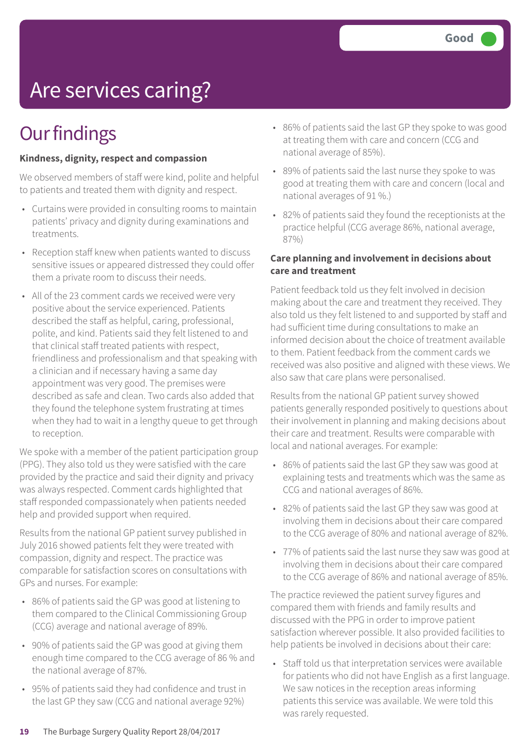# Are services caring?

### **Our findings**

#### **Kindness, dignity, respect and compassion**

We observed members of staff were kind, polite and helpful to patients and treated them with dignity and respect.

- Curtains were provided in consulting rooms to maintain patients' privacy and dignity during examinations and treatments.
- Reception staff knew when patients wanted to discuss sensitive issues or appeared distressed they could offer them a private room to discuss their needs.
- All of the 23 comment cards we received were very positive about the service experienced. Patients described the staff as helpful, caring, professional, polite, and kind. Patients said they felt listened to and that clinical staff treated patients with respect, friendliness and professionalism and that speaking with a clinician and if necessary having a same day appointment was very good. The premises were described as safe and clean. Two cards also added that they found the telephone system frustrating at times when they had to wait in a lengthy queue to get through to reception.

We spoke with a member of the patient participation group (PPG). They also told us they were satisfied with the care provided by the practice and said their dignity and privacy was always respected. Comment cards highlighted that staff responded compassionately when patients needed help and provided support when required.

Results from the national GP patient survey published in July 2016 showed patients felt they were treated with compassion, dignity and respect. The practice was comparable for satisfaction scores on consultations with GPs and nurses. For example:

- 86% of patients said the GP was good at listening to them compared to the Clinical Commissioning Group (CCG) average and national average of 89%.
- 90% of patients said the GP was good at giving them enough time compared to the CCG average of 86 % and the national average of 87%.
- 95% of patients said they had confidence and trust in the last GP they saw (CCG and national average 92%)
- 86% of patients said the last GP they spoke to was good at treating them with care and concern (CCG and national average of 85%).
- 89% of patients said the last nurse they spoke to was good at treating them with care and concern (local and national averages of 91 %.)
- 82% of patients said they found the receptionists at the practice helpful (CCG average 86%, national average, 87%)

#### **Care planning and involvement in decisions about care and treatment**

Patient feedback told us they felt involved in decision making about the care and treatment they received. They also told us they felt listened to and supported by staff and had sufficient time during consultations to make an informed decision about the choice of treatment available to them. Patient feedback from the comment cards we received was also positive and aligned with these views. We also saw that care plans were personalised.

Results from the national GP patient survey showed patients generally responded positively to questions about their involvement in planning and making decisions about their care and treatment. Results were comparable with local and national averages. For example:

- 86% of patients said the last GP they saw was good at explaining tests and treatments which was the same as CCG and national averages of 86%.
- 82% of patients said the last GP they saw was good at involving them in decisions about their care compared to the CCG average of 80% and national average of 82%.
- 77% of patients said the last nurse they saw was good at involving them in decisions about their care compared to the CCG average of 86% and national average of 85%.

The practice reviewed the patient survey figures and compared them with friends and family results and discussed with the PPG in order to improve patient satisfaction wherever possible. It also provided facilities to help patients be involved in decisions about their care:

• Staff told us that interpretation services were available for patients who did not have English as a first language. We saw notices in the reception areas informing patients this service was available. We were told this was rarely requested.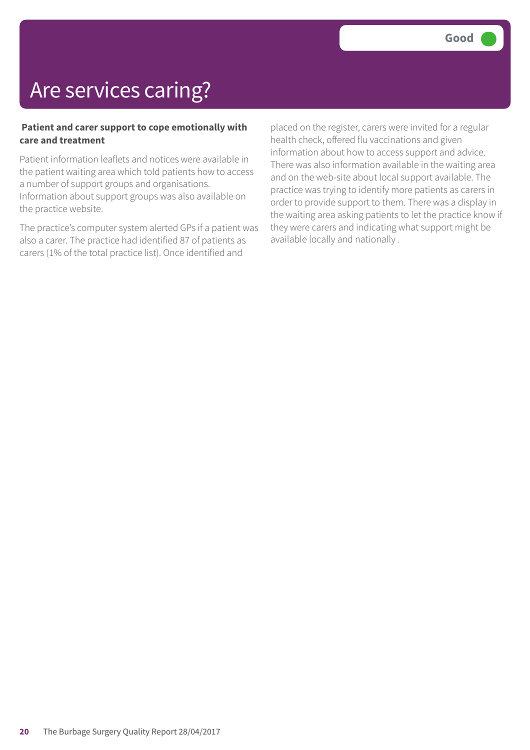### Are services caring?

#### **Patient and carer support to cope emotionally with care and treatment**

Patient information leaflets and notices were available in the patient waiting area which told patients how to access a number of support groups and organisations. Information about support groups was also available on the practice website.

The practice's computer system alerted GPs if a patient was also a carer. The practice had identified 87 of patients as carers (1% of the total practice list). Once identified and

placed on the register, carers were invited for a regular health check, offered flu vaccinations and given information about how to access support and advice. There was also information available in the waiting area and on the web-site about local support available. The practice was trying to identify more patients as carers in order to provide support to them. There was a display in the waiting area asking patients to let the practice know if they were carers and indicating what support might be available locally and nationally .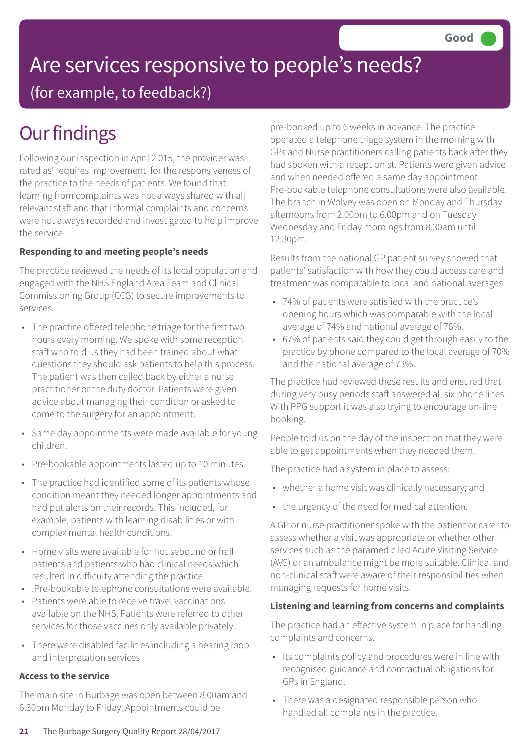# Are services responsive to people's needs?

(for example, to feedback?)

### **Our findings**

Following our inspection in April 2 015, the provider was rated as' requires improvement' for the responsiveness of the practice to the needs of patients. We found that learning from complaints was not always shared with all relevant staff and that informal complaints and concerns were not always recorded and investigated to help improve the service.

### **Responding to and meeting people's needs**

The practice reviewed the needs of its local population and engaged with the NHS England Area Team and Clinical Commissioning Group (CCG) to secure improvements to services.

- The practice offered telephone triage for the first two hours every morning. We spoke with some reception staff who told us they had been trained about what questions they should ask patients to help this process. The patient was then called back by either a nurse practitioner or the duty doctor. Patients were given advice about managing their condition or asked to come to the surgery for an appointment.
- Same day appointments were made available for young children.
- Pre-bookable appointments lasted up to 10 minutes.
- The practice had identified some of its patients whose condition meant they needed longer appointments and had put alerts on their records. This included, for example, patients with learning disabilities or with complex mental health conditions.
- Home visits were available for housebound or frail patients and patients who had clinical needs which resulted in difficulty attending the practice.
- .Pre-bookable telephone consultations were available.
- Patients were able to receive travel vaccinations available on the NHS. Patients were referred to other services for those vaccines only available privately.
- There were disabled facilities including a hearing loop and interpretation services

### **Access to the service**

The main site in Burbage was open between 8.00am and 6.30pm Monday to Friday. Appointments could be

pre-booked up to 6 weeks in advance. The practice operated a telephone triage system in the morning with GPs and Nurse practitioners calling patients back after they had spoken with a receptionist. Patients were given advice and when needed offered a same day appointment. Pre-bookable telephone consultations were also available. The branch in Wolvey was open on Monday and Thursday afternoons from 2.00pm to 6.00pm and on Tuesday Wednesday and Friday mornings from 8.30am until 12.30pm.

Results from the national GP patient survey showed that patients' satisfaction with how they could access care and treatment was comparable to local and national averages.

- 74% of patients were satisfied with the practice's opening hours which was comparable with the local average of 74% and national average of 76%.
- 67% of patients said they could get through easily to the practice by phone compared to the local average of 70% and the national average of 73%.

The practice had reviewed these results and ensured that during very busy periods staff answered all six phone lines. With PPG support it was also trying to encourage on-line booking.

People told us on the day of the inspection that they were able to get appointments when they needed them.

The practice had a system in place to assess:

- whether a home visit was clinically necessary; and
- the urgency of the need for medical attention.

A GP or nurse practitioner spoke with the patient or carer to assess whether a visit was appropriate or whether other services such as the paramedic led Acute Visiting Service (AVS) or an ambulance might be more suitable. Clinical and non-clinical staff were aware of their responsibilities when managing requests for home visits.

### **Listening and learning from concerns and complaints**

The practice had an effective system in place for handling complaints and concerns.

- Its complaints policy and procedures were in line with recognised guidance and contractual obligations for GPs in England.
- There was a designated responsible person who handled all complaints in the practice.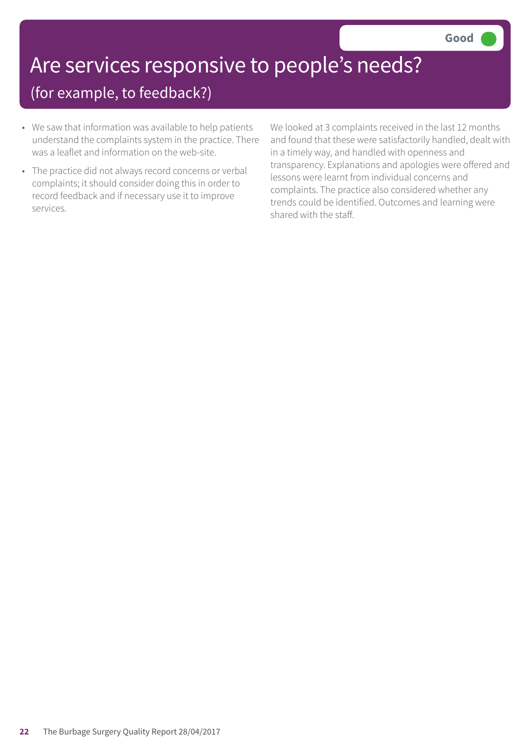# Are services responsive to people's needs?

### (for example, to feedback?)

- We saw that information was available to help patients understand the complaints system in the practice. There was a leaflet and information on the web-site.
- The practice did not always record concerns or verbal complaints; it should consider doing this in order to record feedback and if necessary use it to improve services.

We looked at 3 complaints received in the last 12 months and found that these were satisfactorily handled, dealt with in a timely way, and handled with openness and transparency. Explanations and apologies were offered and lessons were learnt from individual concerns and complaints. The practice also considered whether any trends could be identified. Outcomes and learning were shared with the staff.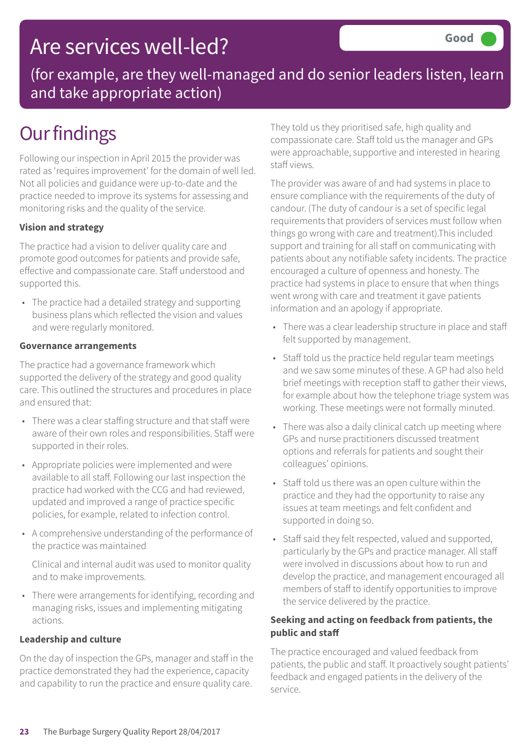### Are services well-led?

(for example, are they well-managed and do senior leaders listen, learn and take appropriate action)

### **Our findings**

Following our inspection in April 2015 the provider was rated as 'requires improvement' for the domain of well led. Not all policies and guidance were up-to-date and the practice needed to improve its systems for assessing and monitoring risks and the quality of the service.

### **Vision and strategy**

The practice had a vision to deliver quality care and promote good outcomes for patients and provide safe, effective and compassionate care. Staff understood and supported this.

• The practice had a detailed strategy and supporting business plans which reflected the vision and values and were regularly monitored.

#### **Governance arrangements**

The practice had a governance framework which supported the delivery of the strategy and good quality care. This outlined the structures and procedures in place and ensured that:

- There was a clear staffing structure and that staff were aware of their own roles and responsibilities. Staff were supported in their roles.
- Appropriate policies were implemented and were available to all staff. Following our last inspection the practice had worked with the CCG and had reviewed, updated and improved a range of practice specific policies, for example, related to infection control.
- A comprehensive understanding of the performance of the practice was maintained

Clinical and internal audit was used to monitor quality and to make improvements.

• There were arrangements for identifying, recording and managing risks, issues and implementing mitigating actions.

#### **Leadership and culture**

On the day of inspection the GPs, manager and staff in the practice demonstrated they had the experience, capacity and capability to run the practice and ensure quality care.

They told us they prioritised safe, high quality and compassionate care. Staff told us the manager and GPs were approachable, supportive and interested in hearing staff views.

The provider was aware of and had systems in place to ensure compliance with the requirements of the duty of candour. (The duty of candour is a set of specific legal requirements that providers of services must follow when things go wrong with care and treatment).This included support and training for all staff on communicating with patients about any notifiable safety incidents. The practice encouraged a culture of openness and honesty. The practice had systems in place to ensure that when things went wrong with care and treatment it gave patients information and an apology if appropriate.

- There was a clear leadership structure in place and staff felt supported by management.
- Staff told us the practice held regular team meetings and we saw some minutes of these. A GP had also held brief meetings with reception staff to gather their views, for example about how the telephone triage system was working. These meetings were not formally minuted.
- There was also a daily clinical catch up meeting where GPs and nurse practitioners discussed treatment options and referrals for patients and sought their colleagues' opinions.
- Staff told us there was an open culture within the practice and they had the opportunity to raise any issues at team meetings and felt confident and supported in doing so.
- Staff said they felt respected, valued and supported, particularly by the GPs and practice manager. All staff were involved in discussions about how to run and develop the practice, and management encouraged all members of staff to identify opportunities to improve the service delivered by the practice.

#### **Seeking and acting on feedback from patients, the public and staff**

The practice encouraged and valued feedback from patients, the public and staff. It proactively sought patients' feedback and engaged patients in the delivery of the service.